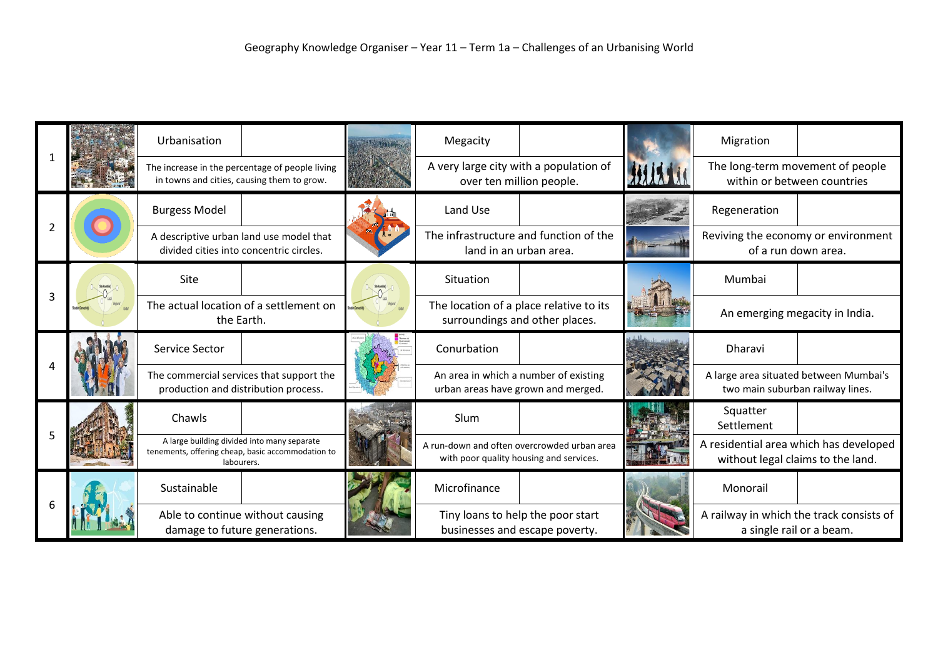|   |  | Urbanisation                                                                                                   |  | Megacity                                                                               |  | Migration                                                                   |  |
|---|--|----------------------------------------------------------------------------------------------------------------|--|----------------------------------------------------------------------------------------|--|-----------------------------------------------------------------------------|--|
|   |  | The increase in the percentage of people living<br>in towns and cities, causing them to grow.                  |  | A very large city with a population of<br>over ten million people.                     |  | The long-term movement of people<br>within or between countries             |  |
|   |  | <b>Burgess Model</b>                                                                                           |  | Land Use                                                                               |  | Regeneration                                                                |  |
|   |  | A descriptive urban land use model that<br>divided cities into concentric circles.                             |  | The infrastructure and function of the<br>land in an urban area.                       |  | Reviving the economy or environment<br>of a run down area.                  |  |
| 3 |  | Site                                                                                                           |  | Situation                                                                              |  | Mumbai                                                                      |  |
|   |  | The actual location of a settlement on<br>the Earth.                                                           |  | The location of a place relative to its<br>surroundings and other places.              |  | An emerging megacity in India.                                              |  |
|   |  | Service Sector                                                                                                 |  | Conurbation                                                                            |  | <b>Dharavi</b>                                                              |  |
|   |  | The commercial services that support the<br>production and distribution process.                               |  | An area in which a number of existing<br>urban areas have grown and merged.            |  | A large area situated between Mumbai's<br>two main suburban railway lines.  |  |
|   |  | Chawls                                                                                                         |  | Slum                                                                                   |  | Squatter<br>Settlement                                                      |  |
|   |  | A large building divided into many separate<br>tenements, offering cheap, basic accommodation to<br>labourers. |  | A run-down and often overcrowded urban area<br>with poor quality housing and services. |  | A residential area which has developed<br>without legal claims to the land. |  |
|   |  | Sustainable                                                                                                    |  | Microfinance                                                                           |  | Monorail                                                                    |  |
|   |  | Able to continue without causing<br>damage to future generations.                                              |  | Tiny loans to help the poor start<br>businesses and escape poverty.                    |  | A railway in which the track consists of<br>a single rail or a beam.        |  |